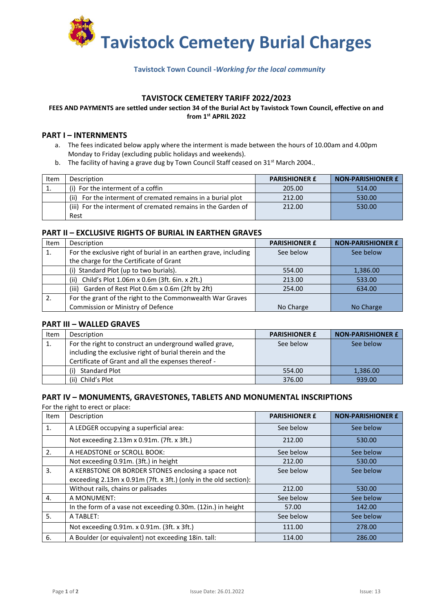

## **Tavistock Town Council -***Working for the local community*

## **TAVISTOCK CEMETERY TARIFF 2022/2023**

#### **FEES AND PAYMENTS are settled under section 34 of the Burial Act by Tavistock Town Council, effective on and from 1st APRIL 2022**

#### **PART I – INTERNMENTS**

- a. The fees indicated below apply where the interment is made between the hours of 10.00am and 4.00pm Monday to Friday (excluding public holidays and weekends).
- b. The facility of having a grave dug by Town Council Staff ceased on  $31^{st}$  March 2004..

| Item | Description                                                    | <b>PARISHIONER £</b> | <b>NON-PARISHIONER £</b> |
|------|----------------------------------------------------------------|----------------------|--------------------------|
|      | (i) For the interment of a coffin                              | 205.00               | 514.00                   |
|      | For the interment of cremated remains in a burial plot<br>(ii) | 212.00               | 530.00                   |
|      | (iii) For the interment of cremated remains in the Garden of   | 212.00               | 530.00                   |
|      | Rest                                                           |                      |                          |

#### **PART II – EXCLUSIVE RIGHTS OF BURIAL IN EARTHEN GRAVES**

| Item | Description                                                      | <b>PARISHIONER £</b> | <b>NON-PARISHIONER £</b> |
|------|------------------------------------------------------------------|----------------------|--------------------------|
| 1.   | For the exclusive right of burial in an earthen grave, including | See below            | See below                |
|      | the charge for the Certificate of Grant                          |                      |                          |
|      | (i) Standard Plot (up to two burials).                           | 554.00               | 1,386.00                 |
|      | Child's Plot 1.06m x 0.6m (3ft. 6in. x 2ft.)<br>(ii)             | 213.00               | 533.00                   |
|      | Garden of Rest Plot 0.6m x 0.6m (2ft by 2ft)<br>(iii)            | 254.00               | 634.00                   |
|      | For the grant of the right to the Commonwealth War Graves        |                      |                          |
|      | Commission or Ministry of Defence                                | No Charge            | No Charge                |

#### **PART III – WALLED GRAVES**

| Item | Description                                                                                                                                                               | <b>PARISHIONER £</b> | <b>NON-PARISHIONER £</b> |
|------|---------------------------------------------------------------------------------------------------------------------------------------------------------------------------|----------------------|--------------------------|
| -1.  | For the right to construct an underground walled grave,<br>including the exclusive right of burial therein and the<br>Certificate of Grant and all the expenses thereof - | See below            | See below                |
|      | <b>Standard Plot</b><br>(i)                                                                                                                                               | 554.00               | 1,386.00                 |
|      | (ii) Child's Plot                                                                                                                                                         | 376.00               | 939.00                   |

#### **PART IV – MONUMENTS, GRAVESTONES, TABLETS AND MONUMENTAL INSCRIPTIONS**

For the right to erect or place:

| Item           | Description                                                      | <b>PARISHIONER £</b> | <b>NON-PARISHIONER £</b> |
|----------------|------------------------------------------------------------------|----------------------|--------------------------|
| $\mathbf{1}$ . | A LEDGER occupying a superficial area:                           | See below            | See below                |
|                | Not exceeding 2.13m x 0.91m. (7ft. x 3ft.)                       | 212.00               | 530.00                   |
| 2.             | A HEADSTONE or SCROLL BOOK:                                      | See below            | See below                |
|                | Not exceeding 0.91m. (3ft.) in height                            | 212.00               | 530.00                   |
| 3.             | A KERBSTONE OR BORDER STONES enclosing a space not               | See below            | See below                |
|                | exceeding 2.13m x 0.91m (7ft. x 3ft.) (only in the old section): |                      |                          |
|                | Without rails, chains or palisades                               | 212.00               | 530.00                   |
| 4.             | A MONUMENT:                                                      | See below            | See below                |
|                | In the form of a vase not exceeding 0.30m. (12in.) in height     | 57.00                | 142.00                   |
| 5.             | A TABLET:                                                        | See below            | See below                |
|                | Not exceeding 0.91m. x 0.91m. (3ft. x 3ft.)                      | 111.00               | 278.00                   |
| 6.             | A Boulder (or equivalent) not exceeding 18in. tall:              | 114.00               | 286.00                   |